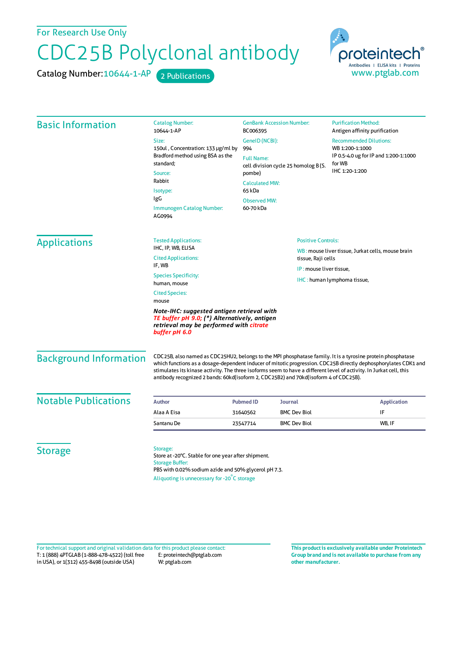For Research Use Only

## CDC25B Polyclonal antibody

Catalog Number: 10644-1-AP 2 Publications



| <b>Basic Information</b>                                                                                                                               | <b>Catalog Number:</b><br>10644-1-AP                                                                                                                                                                        | <b>GenBank Accession Number:</b><br>BC006395<br>GenelD (NCBI):<br>994<br><b>Full Name:</b><br>cell division cycle 25 homolog B (S.<br>pombe)<br><b>Calculated MW:</b><br>65 kDa |                             | <b>Purification Method:</b><br>Antigen affinity purification                                                                                                                                                                   |                                  |                             |  |                           |
|--------------------------------------------------------------------------------------------------------------------------------------------------------|-------------------------------------------------------------------------------------------------------------------------------------------------------------------------------------------------------------|---------------------------------------------------------------------------------------------------------------------------------------------------------------------------------|-----------------------------|--------------------------------------------------------------------------------------------------------------------------------------------------------------------------------------------------------------------------------|----------------------------------|-----------------------------|--|---------------------------|
|                                                                                                                                                        | Size:<br>150ul, Concentration: 133 µg/ml by<br>Bradford method using BSA as the<br>standard;<br>Source:<br>Rabbit<br>Isotype:<br>IgG<br>Immunogen Catalog Number:<br>AG0994                                 |                                                                                                                                                                                 |                             | <b>Recommended Dilutions:</b><br>WB 1:200-1:1000<br>IP 0.5-4.0 ug for IP and 1:200-1:1000<br>for WB<br>IHC 1:20-1:200                                                                                                          |                                  |                             |  |                           |
|                                                                                                                                                        |                                                                                                                                                                                                             |                                                                                                                                                                                 |                             |                                                                                                                                                                                                                                | <b>Observed MW:</b><br>60-70 kDa |                             |  |                           |
|                                                                                                                                                        |                                                                                                                                                                                                             |                                                                                                                                                                                 |                             |                                                                                                                                                                                                                                | <b>Applications</b>              | <b>Tested Applications:</b> |  | <b>Positive Controls:</b> |
|                                                                                                                                                        |                                                                                                                                                                                                             | IHC, IP, WB, ELISA<br><b>Cited Applications:</b>                                                                                                                                |                             | WB: mouse liver tissue, Jurkat cells, mouse brain<br>tissue, Raji cells<br>IP: mouse liver tissue,                                                                                                                             |                                  |                             |  |                           |
| IF, WB                                                                                                                                                 |                                                                                                                                                                                                             |                                                                                                                                                                                 |                             |                                                                                                                                                                                                                                |                                  |                             |  |                           |
| <b>Species Specificity:</b><br>human, mouse                                                                                                            |                                                                                                                                                                                                             |                                                                                                                                                                                 | IHC: human lymphoma tissue, |                                                                                                                                                                                                                                |                                  |                             |  |                           |
| <b>Cited Species:</b><br>mouse                                                                                                                         |                                                                                                                                                                                                             |                                                                                                                                                                                 |                             |                                                                                                                                                                                                                                |                                  |                             |  |                           |
| Note-IHC: suggested antigen retrieval with<br>TE buffer pH 9.0; (*) Alternatively, antigen<br>retrieval may be performed with citrate<br>buffer pH 6.0 |                                                                                                                                                                                                             |                                                                                                                                                                                 |                             |                                                                                                                                                                                                                                |                                  |                             |  |                           |
| <b>Background Information</b>                                                                                                                          | stimulates its kinase activity. The three isoforms seem to have a different level of activity. In Jurkat cell, this<br>antibody recognized 2 bands: 60kd(isoform 2, CDC25B2) and 70kd(isoform 4 of CDC25B). |                                                                                                                                                                                 |                             | CDC25B, also named as CDC25HU2, belongs to the MPI phosphatase family. It is a tyrosine protein phosphatase<br>which functions as a dosage-dependent inducer of mitotic progression. CDC25B directly dephosphorylates CDK1 and |                                  |                             |  |                           |
| <b>Notable Publications</b>                                                                                                                            | <b>Author</b>                                                                                                                                                                                               | <b>Pubmed ID</b><br><b>Journal</b>                                                                                                                                              |                             | <b>Application</b>                                                                                                                                                                                                             |                                  |                             |  |                           |
|                                                                                                                                                        | Alaa A Eisa                                                                                                                                                                                                 | 31640562                                                                                                                                                                        | <b>BMC Dev Biol</b>         | IF                                                                                                                                                                                                                             |                                  |                             |  |                           |
|                                                                                                                                                        | Santanu De                                                                                                                                                                                                  | 23547714                                                                                                                                                                        | <b>BMC Dev Biol</b>         | WB, IF                                                                                                                                                                                                                         |                                  |                             |  |                           |
| <b>Storage</b>                                                                                                                                         | Storage:<br>Store at -20°C. Stable for one year after shipment.<br><b>Storage Buffer:</b><br>PBS with 0.02% sodium azide and 50% glycerol pH 7.3.<br>$\sim$ $\sim$ $\sim$ $\sim$ $\sim$ $\sim$              |                                                                                                                                                                                 |                             |                                                                                                                                                                                                                                |                                  |                             |  |                           |

Aliquoting is unnecessary for -20<sup>°</sup>C storage

T: 1 (888) 4PTGLAB (1-888-478-4522) (toll free in USA), or 1(312) 455-8498 (outside USA) E: proteintech@ptglab.com W: ptglab.com Fortechnical support and original validation data forthis product please contact: **This productis exclusively available under Proteintech**

**Group brand and is not available to purchase from any other manufacturer.**